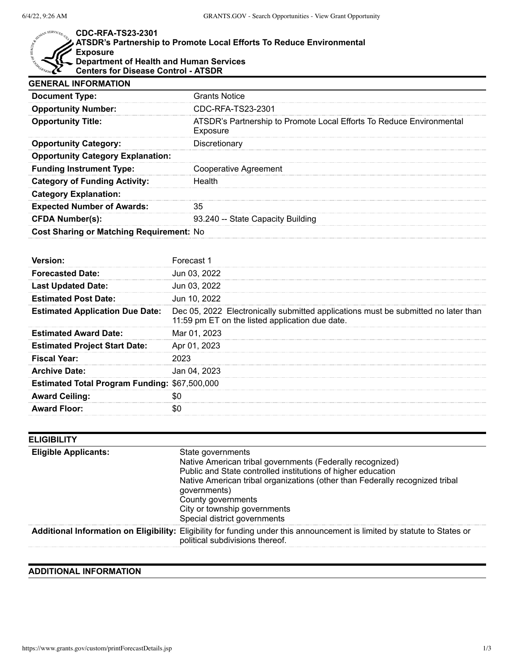$\text{HEALP}_{d_{\text{eff}}}$ 

## MAN SERVICES. US. **CDC-RFA-TS23-2301**

| $\,\blacktriangleright\,$ ATSDR's Partnership to Promote Local Efforts To Reduce Environmental |
|------------------------------------------------------------------------------------------------|
| Exposure                                                                                       |
| $\overline{\phantom{a}}$ Department of Health and Human Services                               |
| <b>Centers for Disease Control - ATSDR</b>                                                     |

| <b>GENERAL INFORMATION</b>                      |                                                                                  |  |
|-------------------------------------------------|----------------------------------------------------------------------------------|--|
| <b>Document Type:</b>                           | <b>Grants Notice</b>                                                             |  |
| <b>Opportunity Number:</b>                      | CDC-RFA-TS23-2301                                                                |  |
| <b>Opportunity Title:</b>                       | ATSDR's Partnership to Promote Local Efforts To Reduce Environmental<br>Exposure |  |
| <b>Opportunity Category:</b>                    | Discretionary                                                                    |  |
| <b>Opportunity Category Explanation:</b>        |                                                                                  |  |
| <b>Funding Instrument Type:</b>                 | Cooperative Agreement                                                            |  |
| <b>Category of Funding Activity:</b>            | Health                                                                           |  |
| <b>Category Explanation:</b>                    |                                                                                  |  |
| <b>Expected Number of Awards:</b>               | 35                                                                               |  |
| <b>CFDA Number(s):</b>                          | 93.240 -- State Capacity Building                                                |  |
| <b>Cost Sharing or Matching Requirement: No</b> |                                                                                  |  |

| Version <sup>.</sup>                                 | Forecast 1                                                                                                                            |
|------------------------------------------------------|---------------------------------------------------------------------------------------------------------------------------------------|
| <b>Forecasted Date:</b>                              | Jun 03, 2022                                                                                                                          |
| <b>Last Updated Date:</b>                            | Jun 03, 2022                                                                                                                          |
| <b>Estimated Post Date:</b>                          | Jun 10, 2022                                                                                                                          |
| <b>Estimated Application Due Date:</b>               | Dec 05, 2022 Electronically submitted applications must be submitted no later than<br>11:59 pm ET on the listed application due date. |
| <b>Estimated Award Date:</b>                         | Mar 01, 2023                                                                                                                          |
| <b>Estimated Project Start Date:</b>                 | Apr 01, 2023                                                                                                                          |
| <b>Fiscal Year:</b>                                  |                                                                                                                                       |
| <b>Archive Date:</b>                                 | Jan 04, 2023                                                                                                                          |
| <b>Estimated Total Program Funding: \$67,500,000</b> |                                                                                                                                       |
| <b>Award Ceiling:</b>                                |                                                                                                                                       |
| <b>Award Floor:</b>                                  |                                                                                                                                       |

| <b>ELIGIBILITY</b>          |                                                                                                                                                                                                                                                                                                                                      |
|-----------------------------|--------------------------------------------------------------------------------------------------------------------------------------------------------------------------------------------------------------------------------------------------------------------------------------------------------------------------------------|
| <b>Eligible Applicants:</b> | State governments<br>Native American tribal governments (Federally recognized)<br>Public and State controlled institutions of higher education<br>Native American tribal organizations (other than Federally recognized tribal<br>governments)<br>County governments<br>City or township governments<br>Special district governments |
|                             | Additional Information on Eligibility: Eligibility for funding under this announcement is limited by statute to States or<br>political subdivisions thereof.                                                                                                                                                                         |

## **ADDITIONAL INFORMATION**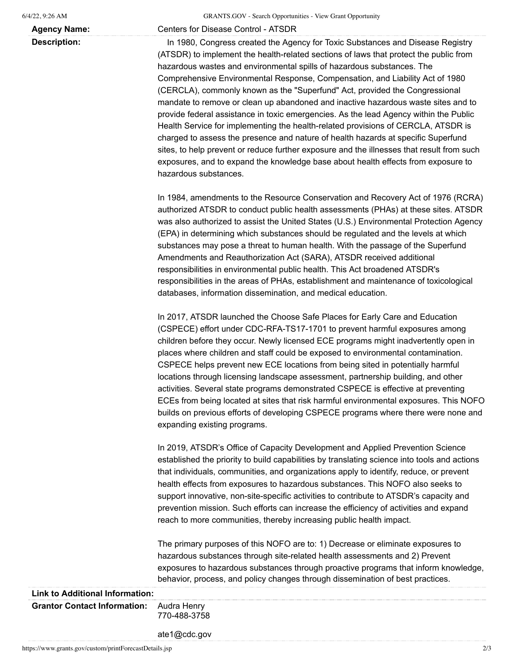**Agency Name:** Centers for Disease Control - ATSDR

**Description:** In 1980, Congress created the Agency for Toxic Substances and Disease Registry (ATSDR) to implement the health-related sections of laws that protect the public from hazardous wastes and environmental spills of hazardous substances. The Comprehensive Environmental Response, Compensation, and Liability Act of 1980 (CERCLA), commonly known as the "Superfund" Act, provided the Congressional mandate to remove or clean up abandoned and inactive hazardous waste sites and to provide federal assistance in toxic emergencies. As the lead Agency within the Public Health Service for implementing the health-related provisions of CERCLA, ATSDR is charged to assess the presence and nature of health hazards at specific Superfund sites, to help prevent or reduce further exposure and the illnesses that result from such exposures, and to expand the knowledge base about health effects from exposure to hazardous substances.

> In 1984, amendments to the Resource Conservation and Recovery Act of 1976 (RCRA) authorized ATSDR to conduct public health assessments (PHAs) at these sites. ATSDR was also authorized to assist the United States (U.S.) Environmental Protection Agency (EPA) in determining which substances should be regulated and the levels at which substances may pose a threat to human health. With the passage of the Superfund Amendments and Reauthorization Act (SARA), ATSDR received additional responsibilities in environmental public health. This Act broadened ATSDR's responsibilities in the areas of PHAs, establishment and maintenance of toxicological databases, information dissemination, and medical education.

> In 2017, ATSDR launched the Choose Safe Places for Early Care and Education (CSPECE) effort under CDC-RFA-TS17-1701 to prevent harmful exposures among children before they occur. Newly licensed ECE programs might inadvertently open in places where children and staff could be exposed to environmental contamination. CSPECE helps prevent new ECE locations from being sited in potentially harmful locations through licensing landscape assessment, partnership building, and other activities. Several state programs demonstrated CSPECE is effective at preventing ECEs from being located at sites that risk harmful environmental exposures. This NOFO builds on previous efforts of developing CSPECE programs where there were none and expanding existing programs.

In 2019, ATSDR's Office of Capacity Development and Applied Prevention Science established the priority to build capabilities by translating science into tools and actions that individuals, communities, and organizations apply to identify, reduce, or prevent health effects from exposures to hazardous substances. This NOFO also seeks to support innovative, non-site-specific activities to contribute to ATSDR's capacity and prevention mission. Such efforts can increase the efficiency of activities and expand reach to more communities, thereby increasing public health impact.

The primary purposes of this NOFO are to: 1) Decrease or eliminate exposures to hazardous substances through site-related health assessments and 2) Prevent exposures to hazardous substances through proactive programs that inform knowledge, behavior, process, and policy changes through dissemination of best practices.

## **Link to Additional Information: Grantor Contact Information:** Audra Henry 770-488-3758

ate1@cdc.gov